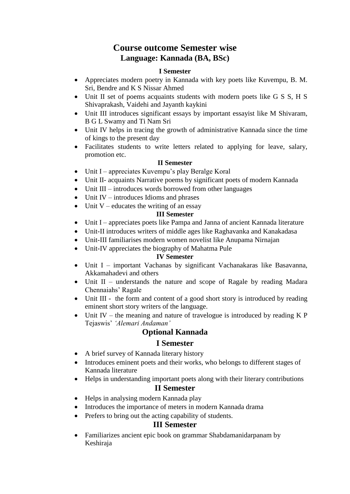# **Course outcome Semester wise Language: Kannada (BA, BSc)**

### **I Semester**

- Appreciates modern poetry in Kannada with key poets like Kuvempu, B. M. Sri, Bendre and K S Nissar Ahmed
- Unit II set of poems acquaints students with modern poets like G S S, H S Shivaprakash, Vaidehi and Jayanth kaykini
- Unit III introduces significant essays by important essayist like M Shivaram, B G L Swamy and Ti Nam Sri
- Unit IV helps in tracing the growth of administrative Kannada since the time of kings to the present day
- Facilitates students to write letters related to applying for leave, salary, promotion etc.

### **II Semester**

- Unit I appreciates Kuvempu's play Beralge Koral
- Unit II- acquaints Narrative poems by significant poets of modern Kannada
- Unit III introduces words borrowed from other languages
- $\bullet$  Unit IV introduces Idioms and phrases
- $\bullet$  Unit V educates the writing of an essay

#### **III Semester**

- Unit I appreciates poets like Pampa and Janna of ancient Kannada literature
- Unit-II introduces writers of middle ages like Raghavanka and Kanakadasa
- Unit-III familiarises modern women novelist like Anupama Nirnajan
- Unit-IV appreciates the biography of Mahatma Pule

### **IV Semester**

- Unit I important Vachanas by significant Vachanakaras like Basavanna, Akkamahadevi and others
- Unit II understands the nature and scope of Ragale by reading Madara Chennaiahs' Ragale
- Unit III the form and content of a good short story is introduced by reading eminent short story writers of the language.
- Unit IV the meaning and nature of travelogue is introduced by reading  $K P$ Tejaswis' *'Alemari Andaman'*

# **Optional Kannada**

### **I Semester**

- A brief survey of Kannada literary history
- Introduces eminent poets and their works, who belongs to different stages of Kannada literature
- Helps in understanding important poets along with their literary contributions **II Semester**
- Helps in analysing modern Kannada play
- Introduces the importance of meters in modern Kannada drama
- Prefers to bring out the acting capability of students.

# **III Semester**

 Familiarizes ancient epic book on grammar Shabdamanidarpanam by Keshiraja